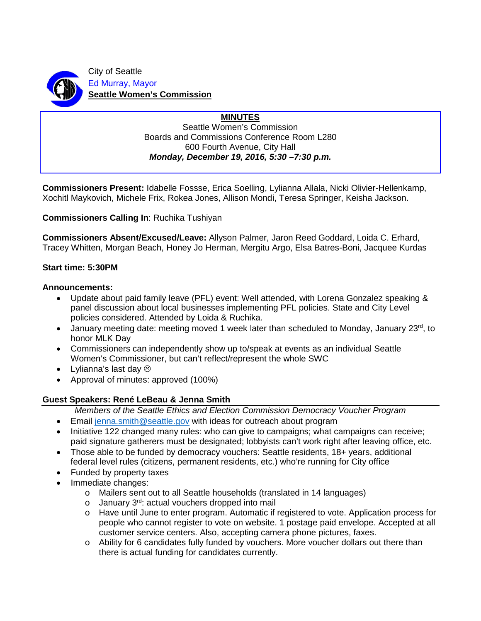City of Seattle Ed Murray, Mayor

**Seattle Women's Commission**

# **MINUTES**

Seattle Women's Commission Boards and Commissions Conference Room L280 600 Fourth Avenue, City Hall *Monday, December 19, 2016, 5:30 –7:30 p.m.*

**Commissioners Present:** Idabelle Fossse, Erica Soelling, Lylianna Allala, Nicki Olivier-Hellenkamp, Xochitl Maykovich, Michele Frix, Rokea Jones, Allison Mondi, Teresa Springer, Keisha Jackson.

**Commissioners Calling In**: Ruchika Tushiyan

**Commissioners Absent/Excused/Leave:** Allyson Palmer, Jaron Reed Goddard, Loida C. Erhard, Tracey Whitten, Morgan Beach, Honey Jo Herman, Mergitu Argo, Elsa Batres-Boni, Jacquee Kurdas

## **Start time: 5:30PM**

### **Announcements:**

- Update about paid family leave (PFL) event: Well attended, with Lorena Gonzalez speaking & panel discussion about local businesses implementing PFL policies. State and City Level policies considered. Attended by Loida & Ruchika.
- January meeting date: meeting moved 1 week later than scheduled to Monday, January  $23^{\text{rd}}$ , to honor MLK Day
- Commissioners can independently show up to/speak at events as an individual Seattle Women's Commissioner, but can't reflect/represent the whole SWC
- Lylianna's last day  $\odot$
- Approval of minutes: approved (100%)

## **Guest Speakers: René LeBeau & Jenna Smith**

*Members of the Seattle Ethics and Election Commission Democracy Voucher Program*

- Email [jenna.smith@seattle.gov](mailto:jenna.smith@seattle.gov) with ideas for outreach about program
- Initiative 122 changed many rules: who can give to campaigns; what campaigns can receive; paid signature gatherers must be designated; lobbyists can't work right after leaving office, etc.
- Those able to be funded by democracy vouchers: Seattle residents, 18+ years, additional federal level rules (citizens, permanent residents, etc.) who're running for City office
- Funded by property taxes
- Immediate changes:
	- o Mailers sent out to all Seattle households (translated in 14 languages)
	- o January 3<sup>rd</sup>: actual vouchers dropped into mail
	- o Have until June to enter program. Automatic if registered to vote. Application process for people who cannot register to vote on website. 1 postage paid envelope. Accepted at all customer service centers. Also, accepting camera phone pictures, faxes.
	- o Ability for 6 candidates fully funded by vouchers. More voucher dollars out there than there is actual funding for candidates currently.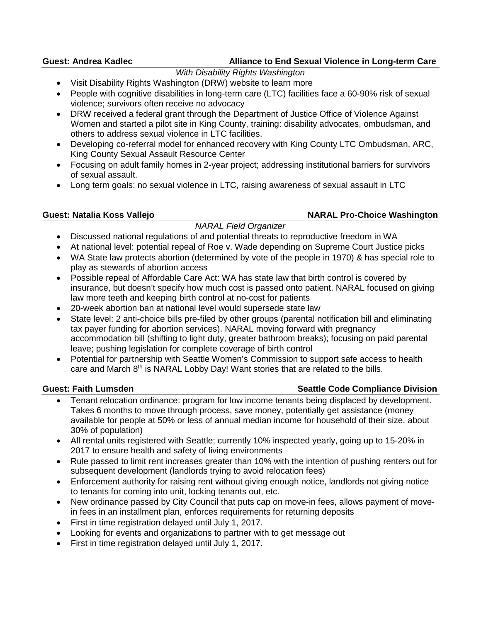### **Guest: Andrea Kadlec Alliance to End Sexual Violence in Long-term Care**

- *With Disability Rights Washington*
- Visit Disability Rights Washington (DRW) website to learn more
- People with cognitive disabilities in long-term care (LTC) facilities face a 60-90% risk of sexual violence; survivors often receive no advocacy
- DRW received a federal grant through the Department of Justice Office of Violence Against Women and started a pilot site in King County, training: disability advocates, ombudsman, and others to address sexual violence in LTC facilities.
- Developing co-referral model for enhanced recovery with King County LTC Ombudsman, ARC, King County Sexual Assault Resource Center
- Focusing on adult family homes in 2-year project; addressing institutional barriers for survivors of sexual assault.
- Long term goals: no sexual violence in LTC, raising awareness of sexual assault in LTC

#### Guest: Natalia Koss Vallejo **NARAL Pro-Choice Washington**

### *NARAL Field Organizer*

- Discussed national regulations of and potential threats to reproductive freedom in WA
- At national level: potential repeal of Roe v. Wade depending on Supreme Court Justice picks
- WA State law protects abortion (determined by vote of the people in 1970) & has special role to play as stewards of abortion access
- Possible repeal of Affordable Care Act: WA has state law that birth control is covered by insurance, but doesn't specify how much cost is passed onto patient. NARAL focused on giving law more teeth and keeping birth control at no-cost for patients
- 20-week abortion ban at national level would supersede state law
- State level: 2 anti-choice bills pre-filed by other groups (parental notification bill and eliminating tax payer funding for abortion services). NARAL moving forward with pregnancy accommodation bill (shifting to light duty, greater bathroom breaks); focusing on paid parental leave; pushing legislation for complete coverage of birth control
- Potential for partnership with Seattle Women's Commission to support safe access to health care and March  $8<sup>th</sup>$  is NARAL Lobby Day! Want stories that are related to the bills.

## **Guest: Faith Lumsden Seattle Code Compliance Division**

- Tenant relocation ordinance: program for low income tenants being displaced by development. Takes 6 months to move through process, save money, potentially get assistance (money available for people at 50% or less of annual median income for household of their size, about 30% of population)
- All rental units registered with Seattle; currently 10% inspected yearly, going up to 15-20% in 2017 to ensure health and safety of living environments
- Rule passed to limit rent increases greater than 10% with the intention of pushing renters out for subsequent development (landlords trying to avoid relocation fees)
- Enforcement authority for raising rent without giving enough notice, landlords not giving notice to tenants for coming into unit, locking tenants out, etc.
- New ordinance passed by City Council that puts cap on move-in fees, allows payment of movein fees in an installment plan, enforces requirements for returning deposits
- First in time registration delayed until July 1, 2017.
- Looking for events and organizations to partner with to get message out
- First in time registration delayed until July 1, 2017.